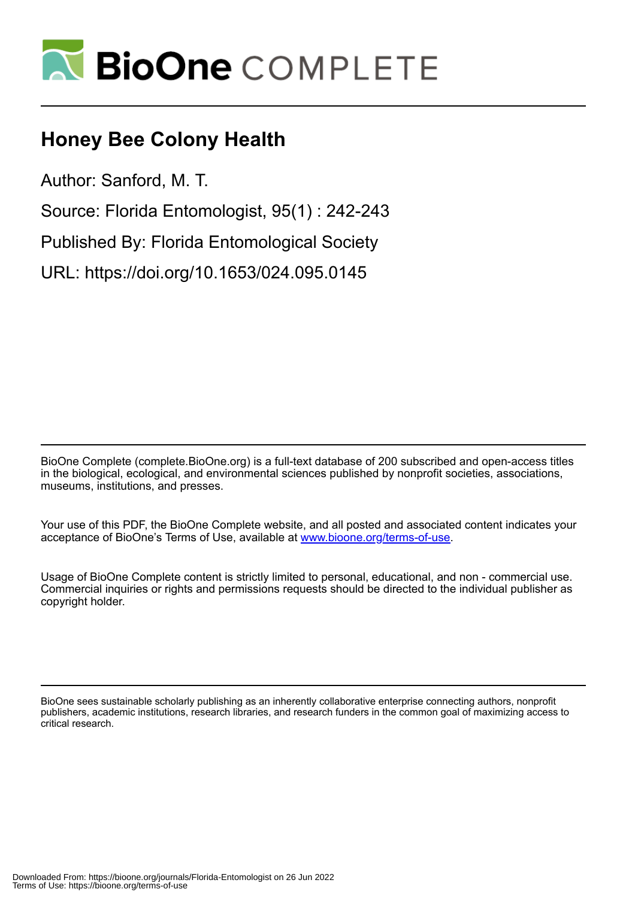

## **Honey Bee Colony Health**

Author: Sanford, M. T.

Source: Florida Entomologist, 95(1) : 242-243

Published By: Florida Entomological Society

URL: https://doi.org/10.1653/024.095.0145

BioOne Complete (complete.BioOne.org) is a full-text database of 200 subscribed and open-access titles in the biological, ecological, and environmental sciences published by nonprofit societies, associations, museums, institutions, and presses.

Your use of this PDF, the BioOne Complete website, and all posted and associated content indicates your acceptance of BioOne's Terms of Use, available at www.bioone.org/terms-of-use.

Usage of BioOne Complete content is strictly limited to personal, educational, and non - commercial use. Commercial inquiries or rights and permissions requests should be directed to the individual publisher as copyright holder.

BioOne sees sustainable scholarly publishing as an inherently collaborative enterprise connecting authors, nonprofit publishers, academic institutions, research libraries, and research funders in the common goal of maximizing access to critical research.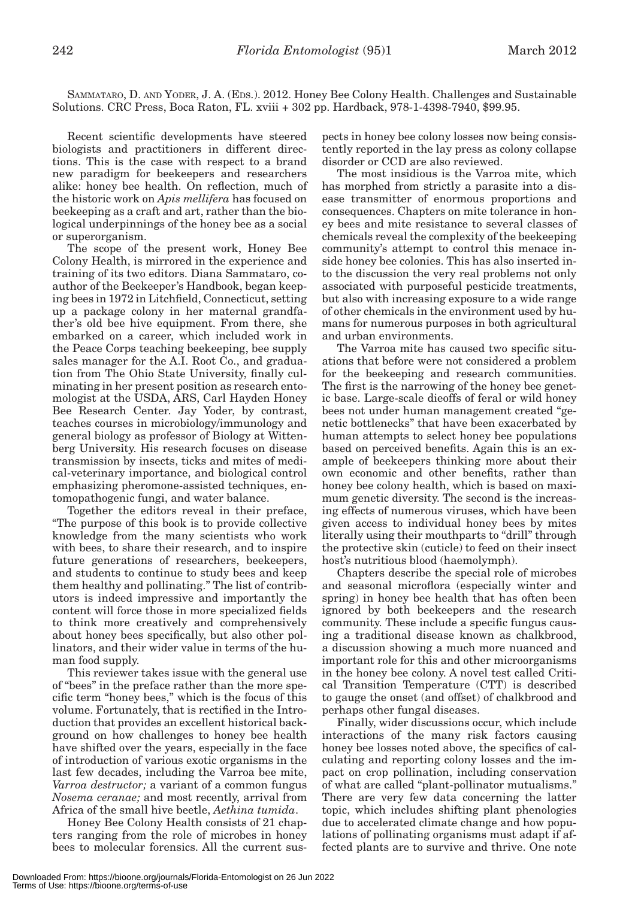SAMMATARO, D. AND YODER, J. A. (EDS.). 2012. Honey Bee Colony Health. Challenges and Sustainable Solutions. CRC Press, Boca Raton, FL. xviii + 302 pp. Hardback, 978-1-4398-7940, \$99.95.

Recent scientific developments have steered biologists and practitioners in different directions. This is the case with respect to a brand new paradigm for beekeepers and researchers alike: honey bee health. On reflection, much of the historic work on *Apis mellifera* has focused on beekeeping as a craft and art, rather than the biological underpinnings of the honey bee as a social or superorganism.

The scope of the present work, Honey Bee Colony Health, is mirrored in the experience and training of its two editors. Diana Sammataro, coauthor of the Beekeeper's Handbook, began keeping bees in 1972 in Litchfield, Connecticut, setting up a package colony in her maternal grandfather's old bee hive equipment. From there, she embarked on a career, which included work in the Peace Corps teaching beekeeping, bee supply sales manager for the A.I. Root Co., and graduation from The Ohio State University, finally culminating in her present position as research entomologist at the USDA, ARS, Carl Hayden Honey Bee Research Center. Jay Yoder, by contrast, teaches courses in microbiology/immunology and general biology as professor of Biology at Wittenberg University. His research focuses on disease transmission by insects, ticks and mites of medical-veterinary importance, and biological control emphasizing pheromone-assisted techniques, entomopathogenic fungi, and water balance.

Together the editors reveal in their preface, "The purpose of this book is to provide collective knowledge from the many scientists who work with bees, to share their research, and to inspire future generations of researchers, beekeepers, and students to continue to study bees and keep them healthy and pollinating." The list of contributors is indeed impressive and importantly the content will force those in more specialized fields to think more creatively and comprehensively about honey bees specifically, but also other pollinators, and their wider value in terms of the human food supply.

This reviewer takes issue with the general use of "bees" in the preface rather than the more specific term "honey bees," which is the focus of this volume. Fortunately, that is rectified in the Introduction that provides an excellent historical background on how challenges to honey bee health have shifted over the years, especially in the face of introduction of various exotic organisms in the last few decades, including the Varroa bee mite, *Varroa destructor;* a variant of a common fungus *Nosema ceranae;* and most recently, arrival from Africa of the small hive beetle, *Aethina tumida*.

Honey Bee Colony Health consists of 21 chapters ranging from the role of microbes in honey bees to molecular forensics. All the current suspects in honey bee colony losses now being consistently reported in the lay press as colony collapse disorder or CCD are also reviewed.

The most insidious is the Varroa mite, which has morphed from strictly a parasite into a disease transmitter of enormous proportions and consequences. Chapters on mite tolerance in honey bees and mite resistance to several classes of chemicals reveal the complexity of the beekeeping community's attempt to control this menace inside honey bee colonies. This has also inserted into the discussion the very real problems not only associated with purposeful pesticide treatments, but also with increasing exposure to a wide range of other chemicals in the environment used by humans for numerous purposes in both agricultural and urban environments.

The Varroa mite has caused two specific situations that before were not considered a problem for the beekeeping and research communities. The first is the narrowing of the honey bee genetic base. Large-scale dieoffs of feral or wild honey bees not under human management created "genetic bottlenecks" that have been exacerbated by human attempts to select honey bee populations based on perceived benefits. Again this is an example of beekeepers thinking more about their own economic and other benefits, rather than honey bee colony health, which is based on maximum genetic diversity. The second is the increasing effects of numerous viruses, which have been given access to individual honey bees by mites literally using their mouthparts to "drill" through the protective skin (cuticle) to feed on their insect host's nutritious blood (haemolymph).

Chapters describe the special role of microbes and seasonal microflora (especially winter and spring) in honey bee health that has often been ignored by both beekeepers and the research community. These include a specific fungus causing a traditional disease known as chalkbrood, a discussion showing a much more nuanced and important role for this and other microorganisms in the honey bee colony. A novel test called Critical Transition Temperature (CTT) is described to gauge the onset (and offset) of chalkbrood and perhaps other fungal diseases.

Finally, wider discussions occur, which include interactions of the many risk factors causing honey bee losses noted above, the specifics of calculating and reporting colony losses and the impact on crop pollination, including conservation of what are called "plant-pollinator mutualisms." There are very few data concerning the latter topic, which includes shifting plant phenologies due to accelerated climate change and how populations of pollinating organisms must adapt if affected plants are to survive and thrive. One note